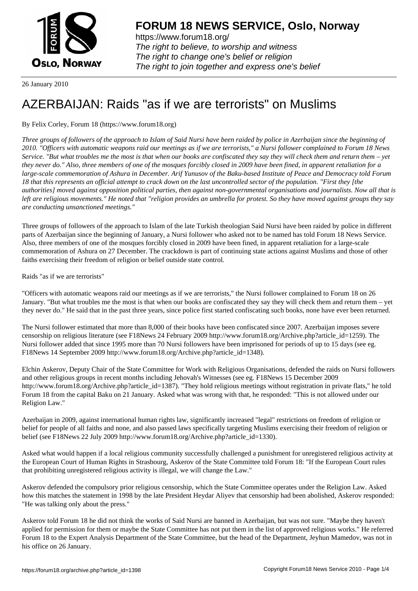

https://www.forum18.org/ The right to believe, to worship and witness The right to change one's belief or religion [The right to join together a](https://www.forum18.org/)nd express one's belief

26 January 2010

## [AZERBAIJAN: R](https://www.forum18.org)aids "as if we are terrorists" on Muslims

By Felix Corley, Forum 18 (https://www.forum18.org)

*Three groups of followers of the approach to Islam of Said Nursi have been raided by police in Azerbaijan since the beginning of 2010. "Officers with automatic weapons raid our meetings as if we are terrorists," a Nursi follower complained to Forum 18 News Service. "But what troubles me the most is that when our books are confiscated they say they will check them and return them – yet they never do." Also, three members of one of the mosques forcibly closed in 2009 have been fined, in apparent retaliation for a large-scale commemoration of Ashura in December. Arif Yunusov of the Baku-based Institute of Peace and Democracy told Forum 18 that this represents an official attempt to crack down on the last uncontrolled sector of the population. "First they [the authorities] moved against opposition political parties, then against non-governmental organisations and journalists. Now all that is left are religious movements." He noted that "religion provides an umbrella for protest. So they have moved against groups they say are conducting unsanctioned meetings."*

Three groups of followers of the approach to Islam of the late Turkish theologian Said Nursi have been raided by police in different parts of Azerbaijan since the beginning of January, a Nursi follower who asked not to be named has told Forum 18 News Service. Also, three members of one of the mosques forcibly closed in 2009 have been fined, in apparent retaliation for a large-scale commemoration of Ashura on 27 December. The crackdown is part of continuing state actions against Muslims and those of other faiths exercising their freedom of religion or belief outside state control.

Raids "as if we are terrorists"

"Officers with automatic weapons raid our meetings as if we are terrorists," the Nursi follower complained to Forum 18 on 26 January. "But what troubles me the most is that when our books are confiscated they say they will check them and return them – yet they never do." He said that in the past three years, since police first started confiscating such books, none have ever been returned.

The Nursi follower estimated that more than 8,000 of their books have been confiscated since 2007. Azerbaijan imposes severe censorship on religious literature (see F18News 24 February 2009 http://www.forum18.org/Archive.php?article\_id=1259). The Nursi follower added that since 1995 more than 70 Nursi followers have been imprisoned for periods of up to 15 days (see eg. F18News 14 September 2009 http://www.forum18.org/Archive.php?article\_id=1348).

Elchin Askerov, Deputy Chair of the State Committee for Work with Religious Organisations, defended the raids on Nursi followers and other religious groups in recent months including Jehovah's Witnesses (see eg. F18News 15 December 2009 http://www.forum18.org/Archive.php?article\_id=1387). "They hold religious meetings without registration in private flats," he told Forum 18 from the capital Baku on 21 January. Asked what was wrong with that, he responded: "This is not allowed under our Religion Law."

Azerbaijan in 2009, against international human rights law, significantly increased "legal" restrictions on freedom of religion or belief for people of all faiths and none, and also passed laws specifically targeting Muslims exercising their freedom of religion or belief (see F18News 22 July 2009 http://www.forum18.org/Archive.php?article\_id=1330).

Asked what would happen if a local religious community successfully challenged a punishment for unregistered religious activity at the European Court of Human Rights in Strasbourg, Askerov of the State Committee told Forum 18: "If the European Court rules that prohibiting unregistered religious activity is illegal, we will change the Law."

Askerov defended the compulsory prior religious censorship, which the State Committee operates under the Religion Law. Asked how this matches the statement in 1998 by the late President Heydar Aliyev that censorship had been abolished, Askerov responded: "He was talking only about the press."

Askerov told Forum 18 he did not think the works of Said Nursi are banned in Azerbaijan, but was not sure. "Maybe they haven't applied for permission for them or maybe the State Committee has not put them in the list of approved religious works." He referred Forum 18 to the Expert Analysis Department of the State Committee, but the head of the Department, Jeyhun Mamedov, was not in his office on 26 January.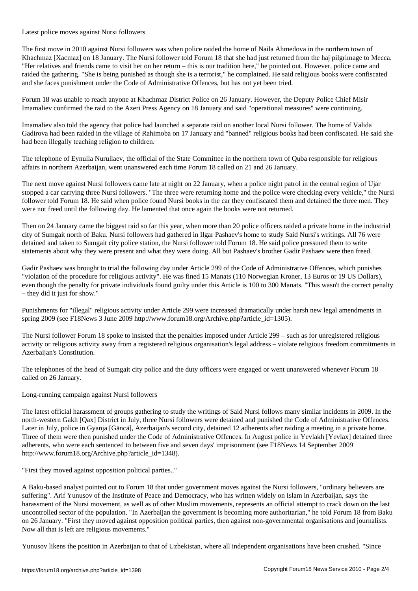Latest police moves against Nursi followers

The first move in 2010 against Nursi followers was when police raided the home of Naila Ahmedova in the northern town of Khachmaz [Xacmaz] on 18 January. The Nursi follower told Forum 18 that she had just returned from the haj pilgrimage to Mecca. "Her relatives and friends came to visit her on her return – this is our tradition here," he pointed out. However, police came and raided the gathering. "She is being punished as though she is a terrorist," he complained. He said religious books were confiscated and she faces punishment under the Code of Administrative Offences, but has not yet been tried.

Forum 18 was unable to reach anyone at Khachmaz District Police on 26 January. However, the Deputy Police Chief Misir Imamaliev confirmed the raid to the Azeri Press Agency on 18 January and said "operational measures" were continuing.

Imamaliev also told the agency that police had launched a separate raid on another local Nursi follower. The home of Valida Gadirova had been raided in the village of Rahimoba on 17 January and "banned" religious books had been confiscated. He said she had been illegally teaching religion to children.

The telephone of Eynulla Nurullaev, the official of the State Committee in the northern town of Quba responsible for religious affairs in northern Azerbaijan, went unanswered each time Forum 18 called on 21 and 26 January.

The next move against Nursi followers came late at night on 22 January, when a police night patrol in the central region of Ujar stopped a car carrying three Nursi followers. "The three were returning home and the police were checking every vehicle," the Nursi follower told Forum 18. He said when police found Nursi books in the car they confiscated them and detained the three men. They were not freed until the following day. He lamented that once again the books were not returned.

Then on 24 January came the biggest raid so far this year, when more than 20 police officers raided a private home in the industrial city of Sumgait north of Baku. Nursi followers had gathered in Ilgar Pashaev's home to study Said Nursi's writings. All 76 were detained and taken to Sumgait city police station, the Nursi follower told Forum 18. He said police pressured them to write statements about why they were present and what they were doing. All but Pashaev's brother Gadir Pashaev were then freed.

Gadir Pashaev was brought to trial the following day under Article 299 of the Code of Administrative Offences, which punishes "violation of the procedure for religious activity". He was fined 15 Manats (110 Norwegian Kroner, 13 Euros or 19 US Dollars), even though the penalty for private individuals found guilty under this Article is 100 to 300 Manats. "This wasn't the correct penalty – they did it just for show."

Punishments for "illegal" religious activity under Article 299 were increased dramatically under harsh new legal amendments in spring 2009 (see F18News 3 June 2009 http://www.forum18.org/Archive.php?article\_id=1305).

The Nursi follower Forum 18 spoke to insisted that the penalties imposed under Article 299 – such as for unregistered religious activity or religious activity away from a registered religious organisation's legal address – violate religious freedom commitments in Azerbaijan's Constitution.

The telephones of the head of Sumgait city police and the duty officers were engaged or went unanswered whenever Forum 18 called on 26 January.

Long-running campaign against Nursi followers

The latest official harassment of groups gathering to study the writings of Said Nursi follows many similar incidents in 2009. In the north-western Gakh [Qax] District in July, three Nursi followers were detained and punished the Code of Administrative Offences. Later in July, police in Gyanja [Gäncä], Azerbaijan's second city, detained 12 adherents after raiding a meeting in a private home. Three of them were then punished under the Code of Administrative Offences. In August police in Yevlakh [Yevlax] detained three adherents, who were each sentenced to between five and seven days' imprisonment (see F18News 14 September 2009 http://www.forum18.org/Archive.php?article\_id=1348).

"First they moved against opposition political parties.."

A Baku-based analyst pointed out to Forum 18 that under government moves against the Nursi followers, "ordinary believers are suffering". Arif Yunusov of the Institute of Peace and Democracy, who has written widely on Islam in Azerbaijan, says the harassment of the Nursi movement, as well as of other Muslim movements, represents an official attempt to crack down on the last uncontrolled sector of the population. "In Azerbaijan the government is becoming more authoritarian," he told Forum 18 from Baku on 26 January. "First they moved against opposition political parties, then against non-governmental organisations and journalists. Now all that is left are religious movements."

Yunusov likens the position in Azerbaijan to that of Uzbekistan, where all independent organisations have been crushed. "Since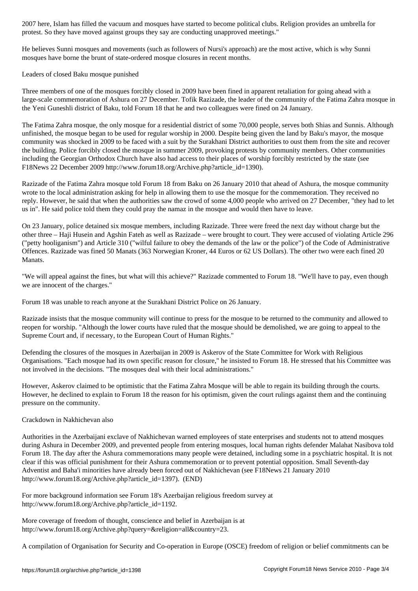protest. So they have moved against groups they say are conducting unapproved meetings."

He believes Sunni mosques and movements (such as followers of Nursi's approach) are the most active, which is why Sunni mosques have borne the brunt of state-ordered mosque closures in recent months.

Leaders of closed Baku mosque punished

Three members of one of the mosques forcibly closed in 2009 have been fined in apparent retaliation for going ahead with a large-scale commemoration of Ashura on 27 December. Tofik Razizade, the leader of the community of the Fatima Zahra mosque in the Yeni Guneshli district of Baku, told Forum 18 that he and two colleagues were fined on 24 January.

The Fatima Zahra mosque, the only mosque for a residential district of some 70,000 people, serves both Shias and Sunnis. Although unfinished, the mosque began to be used for regular worship in 2000. Despite being given the land by Baku's mayor, the mosque community was shocked in 2009 to be faced with a suit by the Surakhani District authorities to oust them from the site and recover the building. Police forcibly closed the mosque in summer 2009, provoking protests by community members. Other communities including the Georgian Orthodox Church have also had access to their places of worship forcibly restricted by the state (see F18News 22 December 2009 http://www.forum18.org/Archive.php?article\_id=1390).

Razizade of the Fatima Zahra mosque told Forum 18 from Baku on 26 January 2010 that ahead of Ashura, the mosque community wrote to the local administration asking for help in allowing them to use the mosque for the commemoration. They received no reply. However, he said that when the authorities saw the crowd of some 4,000 people who arrived on 27 December, "they had to let us in". He said police told them they could pray the namaz in the mosque and would then have to leave.

On 23 January, police detained six mosque members, including Razizade. Three were freed the next day without charge but the other three – Haji Husein and Agshin Fateh as well as Razizade – were brought to court. They were accused of violating Article 296 ("petty hooliganism") and Article 310 ("wilful failure to obey the demands of the law or the police") of the Code of Administrative Offences. Razizade was fined 50 Manats (363 Norwegian Kroner, 44 Euros or 62 US Dollars). The other two were each fined 20 Manats.

"We will appeal against the fines, but what will this achieve?" Razizade commented to Forum 18. "We'll have to pay, even though we are innocent of the charges."

Forum 18 was unable to reach anyone at the Surakhani District Police on 26 January.

Razizade insists that the mosque community will continue to press for the mosque to be returned to the community and allowed to reopen for worship. "Although the lower courts have ruled that the mosque should be demolished, we are going to appeal to the Supreme Court and, if necessary, to the European Court of Human Rights."

Defending the closures of the mosques in Azerbaijan in 2009 is Askerov of the State Committee for Work with Religious Organisations. "Each mosque had its own specific reason for closure," he insisted to Forum 18. He stressed that his Committee was not involved in the decisions. "The mosques deal with their local administrations."

However, Askerov claimed to be optimistic that the Fatima Zahra Mosque will be able to regain its building through the courts. However, he declined to explain to Forum 18 the reason for his optimism, given the court rulings against them and the continuing pressure on the community.

## Crackdown in Nakhichevan also

Authorities in the Azerbaijani exclave of Nakhichevan warned employees of state enterprises and students not to attend mosques during Ashura in December 2009, and prevented people from entering mosques, local human rights defender Malahat Nasibova told Forum 18. The day after the Ashura commemorations many people were detained, including some in a psychiatric hospital. It is not clear if this was official punishment for their Ashura commemoration or to prevent potential opposition. Small Seventh-day Adventist and Baha'i minorities have already been forced out of Nakhichevan (see F18News 21 January 2010 http://www.forum18.org/Archive.php?article\_id=1397). (END)

For more background information see Forum 18's Azerbaijan religious freedom survey at http://www.forum18.org/Archive.php?article\_id=1192.

More coverage of freedom of thought, conscience and belief in Azerbaijan is at http://www.forum18.org/Archive.php?query=&religion=all&country=23.

A compilation of Organisation for Security and Co-operation in Europe (OSCE) freedom of religion or belief commitments can be